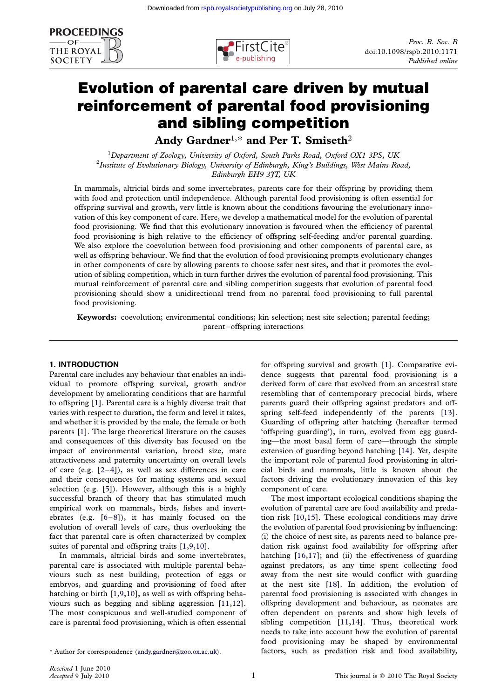



# Evolution of parental care driven by mutual reinforcement of parental food provisioning and sibling competition

Andy Gardner<sup>1,\*</sup> and Per T. Smiseth<sup>2</sup>

<sup>1</sup>Department of Zoology, University of Oxford, South Parks Road, Oxford OX1 3PS, UK<br><sup>2</sup>Institute of Evolutionary Biology, University of Ediphyrah, King's Buildings, West Mains Re  ${}^{2}$ Institute of Evolutionary Biology, University of Edinburgh, King's Buildings, West Mains Road, Edinburgh EH9 37T, UK

In mammals, altricial birds and some invertebrates, parents care for their offspring by providing them with food and protection until independence. Although parental food provisioning is often essential for offspring survival and growth, very little is known about the conditions favouring the evolutionary innovation of this key component of care. Here, we develop a mathematical model for the evolution of parental food provisioning. We find that this evolutionary innovation is favoured when the efficiency of parental food provisioning is high relative to the efficiency of offspring self-feeding and/or parental guarding. We also explore the coevolution between food provisioning and other components of parental care, as well as offspring behaviour. We find that the evolution of food provisioning prompts evolutionary changes in other components of care by allowing parents to choose safer nest sites, and that it promotes the evolution of sibling competition, which in turn further drives the evolution of parental food provisioning. This mutual reinforcement of parental care and sibling competition suggests that evolution of parental food provisioning should show a unidirectional trend from no parental food provisioning to full parental food provisioning.

Keywords: coevolution; environmental conditions; kin selection; nest site selection; parental feeding; parent–offspring interactions

# 1. INTRODUCTION

Parental care includes any behaviour that enables an individual to promote offspring survival, growth and/or development by ameliorating conditions that are harmful to offspring [[1\]](#page-6-0). Parental care is a highly diverse trait that varies with respect to duration, the form and level it takes, and whether it is provided by the male, the female or both parents [\[1\]](#page-6-0). The large theoretical literature on the causes and consequences of this diversity has focused on the impact of environmental variation, brood size, mate attractiveness and paternity uncertainty on overall levels of care (e.g.  $[2-4]$  $[2-4]$  $[2-4]$  $[2-4]$ ), as well as sex differences in care and their consequences for mating systems and sexual selection (e.g. [[5](#page-6-0)]). However, although this is a highly successful branch of theory that has stimulated much empirical work on mammals, birds, fishes and invertebrates (e.g. [[6](#page-6-0)–[8\]](#page-6-0)), it has mainly focused on the evolution of overall levels of care, thus overlooking the fact that parental care is often characterized by complex suites of parental and offspring traits [[1](#page-6-0),[9](#page-6-0),[10](#page-6-0)].

In mammals, altricial birds and some invertebrates, parental care is associated with multiple parental behaviours such as nest building, protection of eggs or embryos, and guarding and provisioning of food after hatching or birth [\[1,9,10\]](#page-6-0), as well as with offspring behaviours such as begging and sibling aggression [\[11,12](#page-6-0)]. The most conspicuous and well-studied component of care is parental food provisioning, which is often essential

for offspring survival and growth [\[1\]](#page-6-0). Comparative evidence suggests that parental food provisioning is a derived form of care that evolved from an ancestral state resembling that of contemporary precocial birds, where parents guard their offspring against predators and offspring self-feed independently of the parents [[13](#page-6-0)]. Guarding of offspring after hatching (hereafter termed 'offspring guarding'), in turn, evolved from egg guarding—the most basal form of care—through the simple extension of guarding beyond hatching [\[14\]](#page-6-0). Yet, despite the important role of parental food provisioning in altricial birds and mammals, little is known about the factors driving the evolutionary innovation of this key component of care.

The most important ecological conditions shaping the evolution of parental care are food availability and predation risk [\[10,15](#page-6-0)]. These ecological conditions may drive the evolution of parental food provisioning by influencing: (i) the choice of nest site, as parents need to balance predation risk against food availability for offspring after hatching  $[16,17]$ ; and  $(ii)$  the effectiveness of guarding against predators, as any time spent collecting food away from the nest site would conflict with guarding at the nest site [[18](#page-6-0)]. In addition, the evolution of parental food provisioning is associated with changes in offspring development and behaviour, as neonates are often dependent on parents and show high levels of sibling competition [\[11,14\]](#page-6-0). Thus, theoretical work needs to take into account how the evolution of parental food provisioning may be shaped by environmental \* Author for correspondence ([andy.gardner@zoo.ox.ac.uk](mailto:andy.gardner@zoo.ox.ac.uk)). factors, such as predation risk and food availability,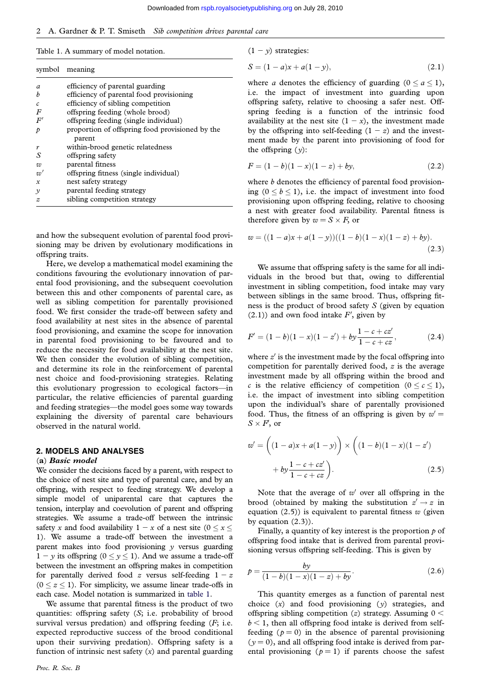# Table 1. A summary of model notation.

| symbol        | meaning                                                   |
|---------------|-----------------------------------------------------------|
| a             | efficiency of parental guarding                           |
| h             | efficiency of parental food provisioning                  |
| c.            | efficiency of sibling competition                         |
| F             | offspring feeding (whole brood)                           |
| $F^\prime$    | offspring feeding (single individual)                     |
| p             | proportion of offspring food provisioned by the<br>parent |
| r             | within-brood genetic relatedness                          |
| S.            | offspring safety                                          |
| w             | parental fitness                                          |
| w'            | offspring fitness (single individual)                     |
| $\mathcal{X}$ | nest safety strategy                                      |
| $\mathcal V$  | parental feeding strategy                                 |
| z             | sibling competition strategy                              |

and how the subsequent evolution of parental food provisioning may be driven by evolutionary modifications in offspring traits.

Here, we develop a mathematical model examining the conditions favouring the evolutionary innovation of parental food provisioning, and the subsequent coevolution between this and other components of parental care, as well as sibling competition for parentally provisioned food. We first consider the trade-off between safety and food availability at nest sites in the absence of parental food provisioning, and examine the scope for innovation in parental food provisioning to be favoured and to reduce the necessity for food availability at the nest site. We then consider the evolution of sibling competition, and determine its role in the reinforcement of parental nest choice and food-provisioning strategies. Relating this evolutionary progression to ecological factors—in particular, the relative efficiencies of parental guarding and feeding strategies—the model goes some way towards explaining the diversity of parental care behaviours observed in the natural world.

# 2. MODELS AND ANALYSES

#### (a) Basic model

We consider the decisions faced by a parent, with respect to the choice of nest site and type of parental care, and by an offspring, with respect to feeding strategy. We develop a simple model of uniparental care that captures the tension, interplay and coevolution of parent and offspring strategies. We assume a trade-off between the intrinsic safety x and food availability  $1 - x$  of a nest site ( $0 \le x \le$ 1). We assume a trade-off between the investment a parent makes into food provisioning y versus guarding  $1 - y$  its offspring  $(0 \le y \le 1)$ . And we assume a trade-off between the investment an offspring makes in competition for parentally derived food z versus self-feeding  $1 - z$  $(0 \le z \le 1)$ . For simplicity, we assume linear trade-offs in each case. Model notation is summarized in table 1.

We assume that parental fitness is the product of two quantities: offspring safety (S; i.e. probability of brood survival versus predation) and offspring feeding  $(F; i.e.$ expected reproductive success of the brood conditional upon their surviving predation). Offspring safety is a function of intrinsic nest safety  $(x)$  and parental guarding  $(1 - y)$  strategies:

$$
S = (1 - a)x + a(1 - y), \tag{2.1}
$$

where *a* denotes the efficiency of guarding  $(0 \le a \le 1)$ , i.e. the impact of investment into guarding upon offspring safety, relative to choosing a safer nest. Offspring feeding is a function of the intrinsic food availability at the nest site  $(1 - x)$ , the investment made by the offspring into self-feeding  $(1 - z)$  and the investment made by the parent into provisioning of food for the offspring  $(y)$ :

$$
F = (1 - b)(1 - x)(1 - z) + by,
$$
\n(2.2)

where  $b$  denotes the efficiency of parental food provisioning  $(0 \le b \le 1)$ , i.e. the impact of investment into food provisioning upon offspring feeding, relative to choosing a nest with greater food availability. Parental fitness is therefore given by  $w = S \times F$ , or

$$
w = ((1 - a)x + a(1 - y))((1 - b)(1 - x)(1 - z) + by).
$$
\n(2.3)

We assume that offspring safety is the same for all individuals in the brood but that, owing to differential investment in sibling competition, food intake may vary between siblings in the same brood. Thus, offspring fitness is the product of brood safety S (given by equation  $(2.1)$ ) and own food intake  $F'$ , given by

$$
F' = (1 - b)(1 - x)(1 - z') + by \frac{1 - c + cz'}{1 - c + cz'},
$$
 (2.4)

where  $z'$  is the investment made by the focal offspring into competition for parentally derived food,  $z$  is the average investment made by all offspring within the brood and c is the relative efficiency of competition  $(0 \le c \le 1)$ , i.e. the impact of investment into sibling competition upon the individual's share of parentally provisioned food. Thus, the fitness of an offspring is given by  $w' =$  $S \times F'$ , or

$$
w' = ((1 - a)x + a(1 - y)) \times ((1 - b)(1 - x)(1 - z')+ by \frac{1 - c + cz'}{1 - c + cz'}).
$$
 (2.5)

Note that the average of  $w'$  over all offspring in the brood (obtained by making the substitution  $z' \rightarrow z$  in equation  $(2.5)$ ) is equivalent to parental fitness w (given by equation (2.3)).

Finally, a quantity of key interest is the proportion  $p$  of offspring food intake that is derived from parental provisioning versus offspring self-feeding. This is given by

$$
p = \frac{by}{(1-b)(1-x)(1-z) + by}.
$$
\n(2.6)

This quantity emerges as a function of parental nest choice  $(x)$  and food provisioning  $(y)$  strategies, and offspring sibling competition (z) strategy. Assuming  $0 <$  $b < 1$ , then all offspring food intake is derived from selffeeding ( $p = 0$ ) in the absence of parental provisioning  $(y = 0)$ , and all offspring food intake is derived from parental provisioning ( $p = 1$ ) if parents choose the safest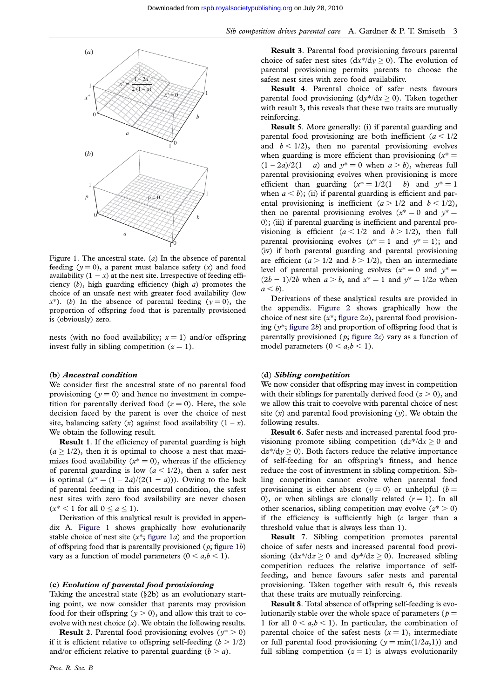<span id="page-2-0"></span>

Figure 1. The ancestral state.  $(a)$  In the absence of parental feeding  $(y = 0)$ , a parent must balance safety  $(x)$  and food availability  $(1 - x)$  at the nest site. Irrespective of feeding efficiency (b), high guarding efficiency (high a) promotes the choice of an unsafe nest with greater food availability (low  $x^*$ ). (b) In the absence of parental feeding  $(y = 0)$ , the proportion of offspring food that is parentally provisioned is (obviously) zero.

nests (with no food availability;  $x = 1$ ) and/or offspring invest fully in sibling competition  $(z = 1)$ .

#### (b) Ancestral condition

We consider first the ancestral state of no parental food provisioning  $(y = 0)$  and hence no investment in competition for parentally derived food  $(z = 0)$ . Here, the sole decision faced by the parent is over the choice of nest site, balancing safety (x) against food availability  $(1 - x)$ . We obtain the following result.

Result 1. If the efficiency of parental guarding is high  $(a > 1/2)$ , then it is optimal to choose a nest that maximizes food availability  $(x^* = 0)$ , whereas if the efficiency of parental guarding is low  $(a < 1/2)$ , then a safer nest is optimal  $(x^* = (1 - 2a)/(2(1 - a)))$ . Owing to the lack of parental feeding in this ancestral condition, the safest nest sites with zero food availability are never chosen  $(x^* < 1$  for all  $0 \le a \le 1$ ).

Derivation of this analytical result is provided in appendix A. Figure 1 shows graphically how evolutionarily stable choice of nest site  $(x^*;$  figure 1*a*) and the proportion of offspring food that is parentally provisioned  $(p;$  figure 1b) vary as a function of model parameters  $(0 < a,b < 1)$ .

#### (c) Evolution of parental food provisioning

Taking the ancestral state (§2b) as an evolutionary starting point, we now consider that parents may provision food for their offspring ( $y > 0$ ), and allow this trait to coevolve with nest choice  $(x)$ . We obtain the following results.

**Result 2.** Parental food provisioning evolves ( $y^* > 0$ ) if it is efficient relative to offspring self-feeding  $(b > 1/2)$ and/or efficient relative to parental guarding  $(b > a)$ .

Result 3. Parental food provisioning favours parental choice of safer nest sites  $(dx^*/dy > 0)$ . The evolution of parental provisioning permits parents to choose the safest nest sites with zero food availability.

Result 4. Parental choice of safer nests favours parental food provisioning  $(dy^*/dx > 0)$ . Taken together with result 3, this reveals that these two traits are mutually reinforcing.

Result 5. More generally: (i) if parental guarding and parental food provisioning are both inefficient  $(a < 1/2)$ and  $b < 1/2$ ), then no parental provisioning evolves when guarding is more efficient than provisioning  $(x^*)$  $(1 – 2a)/2(1 – a)$  and  $y^* = 0$  when  $a > b$ ), whereas full parental provisioning evolves when provisioning is more efficient than guarding  $(x^* = 1/2(1 - b)$  and  $y^* = 1$ when  $a < b$ ); (ii) if parental guarding is efficient and parental provisioning is inefficient ( $a > 1/2$  and  $b < 1/2$ ), then no parental provisioning evolves  $(x^* = 0$  and  $y^* =$ 0); (iii) if parental guarding is inefficient and parental provisioning is efficient  $(a < 1/2$  and  $b > 1/2$ ), then full parental provisioning evolves  $(x^* = 1 \text{ and } y^* = 1)$ ; and (iv) if both parental guarding and parental provisioning are efficient ( $a > 1/2$  and  $b > 1/2$ ), then an intermediate level of parental provisioning evolves  $(x^* = 0$  and  $y^* = 0$  $(2b - 1)/2b$  when  $a > b$ , and  $x^* = 1$  and  $y^* = 1/2a$  when  $a < b$ ).

Derivations of these analytical results are provided in the appendix. [Figure 2](#page-3-0) shows graphically how the choice of nest site  $(x^*;$  figure  $2a)$ , parental food provisioning  $(y^*$ ; [figure 2](#page-3-0)b) and proportion of offspring food that is parentally provisioned  $(p;$  figure  $2c)$  vary as a function of model parameters  $(0 < a,b < 1)$ .

## (d) Sibling competition

We now consider that offspring may invest in competition with their siblings for parentally derived food  $(z > 0)$ , and we allow this trait to coevolve with parental choice of nest site  $(x)$  and parental food provisioning  $(y)$ . We obtain the following results.

Result 6. Safer nests and increased parental food provisioning promote sibling competition  $\frac{dz^*}{dx} > 0$  and  $dz^*/dy > 0$ ). Both factors reduce the relative importance of self-feeding for an offspring's fitness, and hence reduce the cost of investment in sibling competition. Sibling competition cannot evolve when parental food provisioning is either absent ( $y = 0$ ) or unhelpful ( $b =$ 0), or when siblings are clonally related  $(r = 1)$ . In all other scenarios, sibling competition may evolve  $(z^* > 0)$ if the efficiency is sufficiently high  $(c)$  larger than a threshold value that is always less than 1).

Result 7. Sibling competition promotes parental choice of safer nests and increased parental food provisioning  $(dx^*/dz > 0$  and  $dy^*/dz > 0$ ). Increased sibling competition reduces the relative importance of selffeeding, and hence favours safer nests and parental provisioning. Taken together with result 6, this reveals that these traits are mutually reinforcing.

Result 8. Total absence of offspring self-feeding is evolutionarily stable over the whole space of parameters ( $p =$ 1 for all  $0 \lt a, b \lt 1$ ). In particular, the combination of parental choice of the safest nests  $(x = 1)$ , intermediate or full parental food provisioning ( $y = min(1/2a,1)$ ) and full sibling competition  $(z = 1)$  is always evolutionarily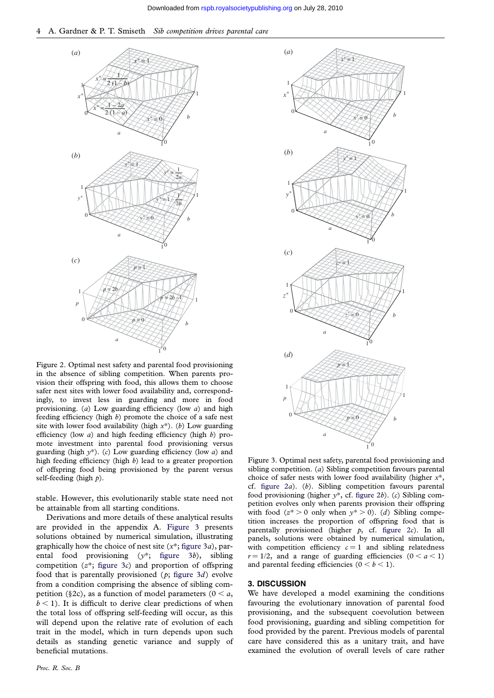<span id="page-3-0"></span>4 A. Gardner & P. T. Smiseth Sib competition drives parental care



Figure 2. Optimal nest safety and parental food provisioning in the absence of sibling competition. When parents provision their offspring with food, this allows them to choose safer nest sites with lower food availability and, correspondingly, to invest less in guarding and more in food provisioning. (a) Low guarding efficiency (low  $a$ ) and high feeding efficiency (high b) promote the choice of a safe nest site with lower food availability (high  $x^*$ ). (b) Low guarding efficiency (low  $a$ ) and high feeding efficiency (high  $b$ ) promote investment into parental food provisioning versus guarding (high  $y^*$ ). (c) Low guarding efficiency (low a) and high feeding efficiency (high  $b$ ) lead to a greater proportion of offspring food being provisioned by the parent versus self-feeding (high  $p$ ).

stable. However, this evolutionarily stable state need not be attainable from all starting conditions.

Derivations and more details of these analytical results are provided in the appendix A. Figure 3 presents solutions obtained by numerical simulation, illustrating graphically how the choice of nest site  $(x^*; \text{figure } 3a)$ , parental food provisioning  $(y^*;$  figure  $3b)$ , sibling competition  $(z^*;$  figure  $3c)$  and proportion of offspring food that is parentally provisioned ( $p$ ; figure 3d) evolve from a condition comprising the absence of sibling competition (§2c), as a function of model parameters ( $0 < a$ ,  $b < 1$ ). It is difficult to derive clear predictions of when the total loss of offspring self-feeding will occur, as this will depend upon the relative rate of evolution of each trait in the model, which in turn depends upon such details as standing genetic variance and supply of beneficial mutations.



Figure 3. Optimal nest safety, parental food provisioning and sibling competition. (*a*) Sibling competition favours parental choice of safer nests with lower food availability (higher  $x^*$ , cf. figure  $2a$ ). (b). Sibling competition favours parental food provisioning (higher  $y^*$ , cf. figure 2b). (c) Sibling competition evolves only when parents provision their offspring with food  $(z^* > 0$  only when  $y^* > 0$ ). (d) Sibling competition increases the proportion of offspring food that is parentally provisioned (higher  $p$ , cf. figure  $2c$ ). In all panels, solutions were obtained by numerical simulation, with competition efficiency  $c = 1$  and sibling relatedness  $r = 1/2$ , and a range of guarding efficiencies  $(0 < a < 1)$ and parental feeding efficiencies  $(0 < b < 1)$ .

# 3. DISCUSSION

We have developed a model examining the conditions favouring the evolutionary innovation of parental food provisioning, and the subsequent coevolution between food provisioning, guarding and sibling competition for food provided by the parent. Previous models of parental care have considered this as a unitary trait, and have examined the evolution of overall levels of care rather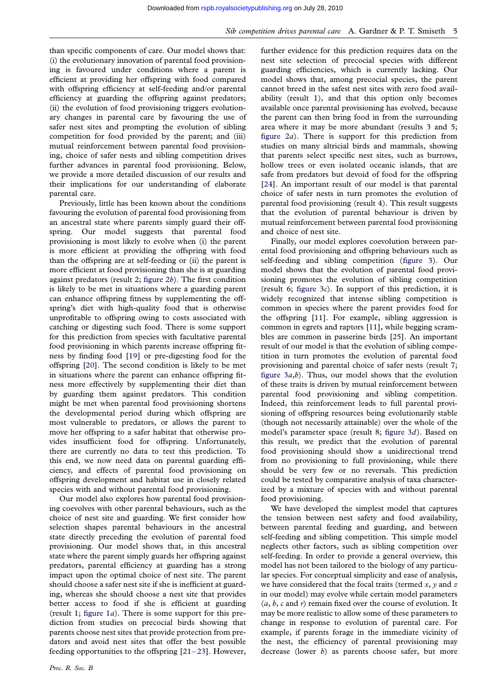than specific components of care. Our model shows that: (i) the evolutionary innovation of parental food provisioning is favoured under conditions where a parent is efficient at providing her offspring with food compared with offspring efficiency at self-feeding and/or parental efficiency at guarding the offspring against predators; (ii) the evolution of food provisioning triggers evolutionary changes in parental care by favouring the use of safer nest sites and prompting the evolution of sibling competition for food provided by the parent; and (iii) mutual reinforcement between parental food provisioning, choice of safer nests and sibling competition drives further advances in parental food provisioning. Below, we provide a more detailed discussion of our results and their implications for our understanding of elaborate parental care.

Previously, little has been known about the conditions favouring the evolution of parental food provisioning from an ancestral state where parents simply guard their offspring. Our model suggests that parental food provisioning is most likely to evolve when (i) the parent is more efficient at providing the offspring with food than the offspring are at self-feeding or (ii) the parent is more efficient at food provisioning than she is at guarding against predators (result 2; [figure 2](#page-3-0)b). The first condition is likely to be met in situations where a guarding parent can enhance offspring fitness by supplementing the offspring's diet with high-quality food that is otherwise unprofitable to offspring owing to costs associated with catching or digesting such food. There is some support for this prediction from species with facultative parental food provisioning in which parents increase offspring fitness by finding food [\[19\]](#page-6-0) or pre-digesting food for the offspring [\[20\]](#page-7-0). The second condition is likely to be met in situations where the parent can enhance offspring fitness more effectively by supplementing their diet than by guarding them against predators. This condition might be met when parental food provisioning shortens the developmental period during which offspring are most vulnerable to predators, or allows the parent to move her offspring to a safer habitat that otherwise provides insufficient food for offspring. Unfortunately, there are currently no data to test this prediction. To this end, we now need data on parental guarding efficiency, and effects of parental food provisioning on offspring development and habitat use in closely related species with and without parental food provisioning.

Our model also explores how parental food provisioning coevolves with other parental behaviours, such as the choice of nest site and guarding. We first consider how selection shapes parental behaviours in the ancestral state directly preceding the evolution of parental food provisioning. Our model shows that, in this ancestral state where the parent simply guards her offspring against predators, parental efficiency at guarding has a strong impact upon the optimal choice of nest site. The parent should choose a safer nest site if she is inefficient at guarding, whereas she should choose a nest site that provides better access to food if she is efficient at guarding (result 1; figure  $1a$ ). There is some support for this prediction from studies on precocial birds showing that parents choose nest sites that provide protection from predators and avoid nest sites that offer the best possible feeding opportunities to the offspring  $[21–23]$  $[21–23]$  $[21–23]$ . However,

further evidence for this prediction requires data on the nest site selection of precocial species with different guarding efficiencies, which is currently lacking. Our model shows that, among precocial species, the parent cannot breed in the safest nest sites with zero food availability (result 1), and that this option only becomes available once parental provisioning has evolved, because the parent can then bring food in from the surrounding area where it may be more abundant (results 3 and 5; [figure 2](#page-3-0)a). There is support for this prediction from studies on many altricial birds and mammals, showing that parents select specific nest sites, such as burrows, hollow trees or even isolated oceanic islands, that are safe from predators but devoid of food for the offspring [\[24\]](#page-7-0). An important result of our model is that parental choice of safer nests in turn promotes the evolution of parental food provisioning (result 4). This result suggests that the evolution of parental behaviour is driven by mutual reinforcement between parental food provisioning and choice of nest site.

Finally, our model explores coevolution between parental food provisioning and offspring behaviours such as self-feeding and sibling competition [\(figure 3](#page-3-0)). Our model shows that the evolution of parental food provisioning promotes the evolution of sibling competition (result 6; [figure 3](#page-3-0)c). In support of this prediction, it is widely recognized that intense sibling competition is common in species where the parent provides food for the offspring [[11](#page-6-0)]. For example, sibling aggression is common in egrets and raptors [[11](#page-6-0)], while begging scrambles are common in passerine birds [\[25\]](#page-7-0). An important result of our model is that the evolution of sibling competition in turn promotes the evolution of parental food provisioning and parental choice of safer nests (result 7; figure  $3a,b$ . Thus, our model shows that the evolution of these traits is driven by mutual reinforcement between parental food provisioning and sibling competition. Indeed, this reinforcement leads to full parental provisioning of offspring resources being evolutionarily stable (though not necessarily attainable) over the whole of the model's parameter space (result 8; [figure 3](#page-3-0)d). Based on this result, we predict that the evolution of parental food provisioning should show a unidirectional trend from no provisioning to full provisioning, while there should be very few or no reversals. This prediction could be tested by comparative analysis of taxa characterized by a mixture of species with and without parental food provisioning.

We have developed the simplest model that captures the tension between nest safety and food availability, between parental feeding and guarding, and between self-feeding and sibling competition. This simple model neglects other factors, such as sibling competition over self-feeding. In order to provide a general overview, this model has not been tailored to the biology of any particular species. For conceptual simplicity and ease of analysis, we have considered that the focal traits (termed  $x$ ,  $y$  and  $z$ in our model) may evolve while certain model parameters  $(a, b, c \text{ and } r)$  remain fixed over the course of evolution. It may be more realistic to allow some of these parameters to change in response to evolution of parental care. For example, if parents forage in the immediate vicinity of the nest, the efficiency of parental provisioning may decrease (lower  $b$ ) as parents choose safer, but more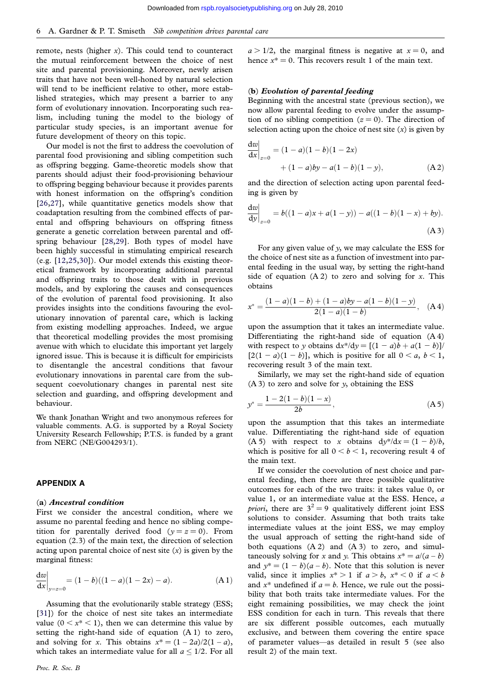remote, nests (higher  $x$ ). This could tend to counteract the mutual reinforcement between the choice of nest site and parental provisioning. Moreover, newly arisen traits that have not been well-honed by natural selection will tend to be inefficient relative to other, more established strategies, which may present a barrier to any form of evolutionary innovation. Incorporating such realism, including tuning the model to the biology of particular study species, is an important avenue for future development of theory on this topic.

Our model is not the first to address the coevolution of parental food provisioning and sibling competition such as offspring begging. Game-theoretic models show that parents should adjust their food-provisioning behaviour to offspring begging behaviour because it provides parents with honest information on the offspring's condition [\[26,27](#page-7-0)], while quantitative genetics models show that coadaptation resulting from the combined effects of parental and offspring behaviours on offspring fitness generate a genetic correlation between parental and offspring behaviour [[28,29\]](#page-7-0). Both types of model have been highly successful in stimulating empirical research (e.g. [[12](#page-6-0)[,25,30](#page-7-0)]). Our model extends this existing theoretical framework by incorporating additional parental and offspring traits to those dealt with in previous models, and by exploring the causes and consequences of the evolution of parental food provisioning. It also provides insights into the conditions favouring the evolutionary innovation of parental care, which is lacking from existing modelling approaches. Indeed, we argue that theoretical modelling provides the most promising avenue with which to elucidate this important yet largely ignored issue. This is because it is difficult for empiricists to disentangle the ancestral conditions that favour evolutionary innovations in parental care from the subsequent coevolutionary changes in parental nest site selection and guarding, and offspring development and behaviour.

We thank Jonathan Wright and two anonymous referees for valuable comments. A.G. is supported by a Royal Society University Research Fellowship; P.T.S. is funded by a grant from NERC (NE/G004293/1).

#### APPENDIX A

### (a) Ancestral condition

First we consider the ancestral condition, where we assume no parental feeding and hence no sibling competition for parentally derived food  $(y = z = 0)$ . From equation (2.3) of the main text, the direction of selection acting upon parental choice of nest site  $(x)$  is given by the marginal fitness:

$$
\left. \frac{\mathrm{d}w}{\mathrm{d}x} \right|_{y=x=0} = (1-b)((1-a)(1-2x)-a). \tag{A.1}
$$

Assuming that the evolutionarily stable strategy (ESS; [\[31\]](#page-7-0)) for the choice of nest site takes an intermediate value  $(0 \lt x^* \lt 1)$ , then we can determine this value by setting the right-hand side of equation (A 1) to zero, and solving for x. This obtains  $x^* = (1 - 2a)/2(1 - a)$ , which takes an intermediate value for all  $a \leq 1/2$ . For all

 $a > 1/2$ , the marginal fitness is negative at  $x = 0$ , and hence  $x^* = 0$ . This recovers result 1 of the main text.

# (b) Evolution of parental feeding

Beginning with the ancestral state (previous section), we now allow parental feeding to evolve under the assumption of no sibling competition  $(z = 0)$ . The direction of selection acting upon the choice of nest site  $(x)$  is given by

$$
\left. \frac{dw}{dx} \right|_{z=0} = (1-a)(1-b)(1-2x) \n+ (1-a)by - a(1-b)(1-y),
$$
\n(A2)

and the direction of selection acting upon parental feeding is given by

$$
\left. \frac{dw}{dy} \right|_{z=0} = b((1-a)x + a(1-y)) - a((1-b)(1-x) + by).
$$
\n(A3)

For any given value of  $y$ , we may calculate the ESS for the choice of nest site as a function of investment into parental feeding in the usual way, by setting the right-hand side of equation  $(A 2)$  to zero and solving for x. This obtains

$$
x^* = \frac{(1-a)(1-b) + (1-a)by - a(1-b)(1-y)}{2(1-a)(1-b)}, \quad (A4)
$$

upon the assumption that it takes an intermediate value. Differentiating the right-hand side of equation (A 4) with respect to y obtains  $dx^*/dy = [(1 - a)b + a(1 - b)]/$  $[2(1 - a)(1 - b)]$ , which is positive for all  $0 < a, b < 1$ , recovering result 3 of the main text.

Similarly, we may set the right-hand side of equation  $(A 3)$  to zero and solve for y, obtaining the ESS

$$
y^* = \frac{1 - 2(1 - b)(1 - x)}{2b},
$$
 (A5)

upon the assumption that this takes an intermediate value. Differentiating the right-hand side of equation (A 5) with respect to x obtains  $dy^*/dx = (1 - b)/b$ , which is positive for all  $0 < b < 1$ , recovering result 4 of the main text.

If we consider the coevolution of nest choice and parental feeding, then there are three possible qualitative outcomes for each of the two traits: it takes value 0, or value 1, or an intermediate value at the ESS. Hence, a *priori*, there are  $3^2 = 9$  qualitatively different joint ESS solutions to consider. Assuming that both traits take intermediate values at the joint ESS, we may employ the usual approach of setting the right-hand side of both equations  $(A 2)$  and  $(A 3)$  to zero, and simultaneously solving for x and y. This obtains  $x^* = a/(a - b)$ and  $y^* = (1 - b)(a - b)$ . Note that this solution is never valid, since it implies  $x^* > 1$  if  $a > b$ ,  $x^* < 0$  if  $a < b$ and  $x^*$  undefined if  $a = b$ . Hence, we rule out the possibility that both traits take intermediate values. For the eight remaining possibilities, we may check the joint ESS condition for each in turn. This reveals that there are six different possible outcomes, each mutually exclusive, and between them covering the entire space of parameter values—as detailed in result 5 (see also result 2) of the main text.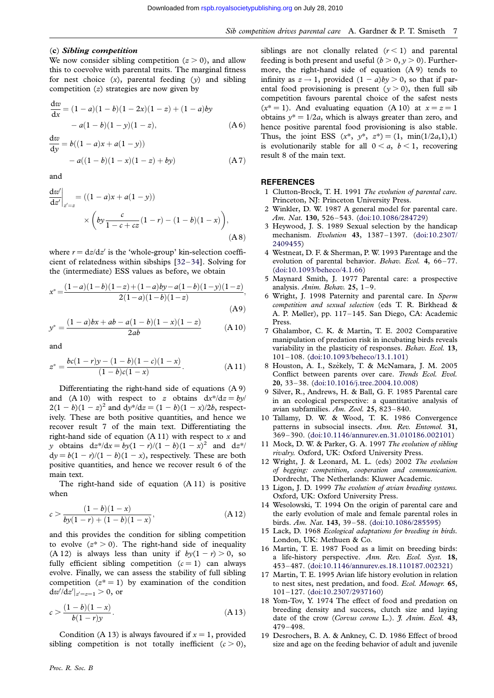# <span id="page-6-0"></span>(c) Sibling competition

We now consider sibling competition  $(z > 0)$ , and allow this to coevolve with parental traits. The marginal fitness for nest choice  $(x)$ , parental feeding  $(y)$  and sibling competition  $(z)$  strategies are now given by

$$
\frac{dw}{dx} = (1-a)(1-b)(1-2x)(1-z) + (1-a)by
$$
  
-a(1-b)(1-y)(1-z), (A6)

$$
\frac{dw}{dy} = b((1-a)x + a(1-y))
$$
  
- a((1-b)(1-x)(1-z) + by) (A7)

and

$$
\frac{dw'}{dz'}\Big|_{z'=z} = ((1-a)x + a(1-y))
$$
  
 
$$
\times \left(by \frac{c}{1-c+cz}(1-r) - (1-b)(1-x)\right),
$$
 (A8)

where  $r = \frac{dz}{dz'}$  is the 'whole-group' kin-selection coefficient of relatedness within sibships [[32](#page-7-0)–[34\]](#page-7-0). Solving for the (intermediate) ESS values as before, we obtain

$$
x^* = \frac{(1-a)(1-b)(1-z)+(1-a)by-a(1-b)(1-y)(1-z)}{2(1-a)(1-b)(1-z)},
$$
\n(A9)

$$
y^* = \frac{(1-a)bx + ab - a(1-b)(1-x)(1-z)}{2ab}
$$
 (A10)

and

$$
z^* = \frac{bc(1-r)y - (1-b)(1-c)(1-x)}{(1-b)c(1-x)}.
$$
 (A11)

Differentiating the right-hand side of equations (A 9) and (A 10) with respect to z obtains  $dx^*/dz = by/$  $2(1-b)(1-z)^2$  and  $dy^*/dz = (1-b)(1-x)/2b$ , respectively. These are both positive quantities, and hence we recover result 7 of the main text. Differentiating the right-hand side of equation  $(A 11)$  with respect to x and *y* obtains  $dz^* / dx = by(1 - r)/(1 - b)(1 - x)^2$  and  $dz^* / dx = by(1 - r)/(1 - b)(1 - x)^2$  $dy = b(1 - r)/(1 - b)(1 - x)$ , respectively. These are both positive quantities, and hence we recover result 6 of the main text.

The right-hand side of equation (A 11) is positive when

$$
c > \frac{(1-b)(1-x)}{by(1-r) + (1-b)(1-x)},
$$
\n(A12)

and this provides the condition for sibling competition to evolve  $(z^* > 0)$ . The right-hand side of inequality (A 12) is always less than unity if  $by(1 - r) > 0$ , so fully efficient sibling competition  $(c = 1)$  can always evolve. Finally, we can assess the stability of full sibling competition  $(z^* = 1)$  by examination of the condition  $dw'/dz'|_{z'=z=1} > 0$ , or

$$
c > \frac{(1-b)(1-x)}{b(1-r)y}.
$$
 (A13)

Condition (A 13) is always favoured if  $x = 1$ , provided sibling competition is not totally inefficient  $(c > 0)$ , siblings are not clonally related  $(r < 1)$  and parental feeding is both present and useful  $(b > 0, y > 0)$ . Furthermore, the right-hand side of equation (A 9) tends to infinity as  $z \to 1$ , provided  $(1 - a)by > 0$ , so that if parental food provisioning is present  $(y > 0)$ , then full sib competition favours parental choice of the safest nests  $(x^* = 1)$ . And evaluating equation (A 10) at  $x = z = 1$ obtains  $y^* = 1/2a$ , which is always greater than zero, and hence positive parental food provisioning is also stable. Thus, the joint ESS  $(x^*, y^*, z^*) = (1, \min(1/2a,1),1)$ is evolutionarily stable for all  $0 < a, b < 1$ , recovering result 8 of the main text.

#### **REFERENCES**

- 1 Clutton-Brock, T. H. 1991 The evolution of parental care. Princeton, NJ: Princeton University Press.
- 2 Winkler, D. W. 1987 A general model for parental care. Am. Nat. 130, 526-543. ([doi:10.1086/284729\)](http://dx.doi.org/doi:10.1086/284729)
- 3 Heywood, J. S. 1989 Sexual selection by the handicap mechanism. Evolution 43, 1387–1397. ([doi:10.2307/](http://dx.doi.org/doi:10.2307/2409455) [2409455](http://dx.doi.org/doi:10.2307/2409455))
- 4 Westneat, D. F. & Sherman, P. W. 1993 Parentage and the evolution of parental behavior. Behav. Ecol. 4, 66-77. ([doi:10.1093/beheco/4.1.66](http://dx.doi.org/doi:10.1093/beheco/4.1.66))
- 5 Maynard Smith, J. 1977 Parental care: a prospective analysis. Anim. Behav. 25, 1–9.
- 6 Wright, J. 1998 Paternity and parental care. In Sperm competition and sexual selection (eds T. R. Birkhead & A. P. Møller), pp. 117 –145. San Diego, CA: Academic Press.
- 7 Ghalambor, C. K. & Martin, T. E. 2002 Comparative manipulation of predation risk in incubating birds reveals variability in the plasticity of responses. Behav. Ecol. 13, 101 –108. ([doi:10.1093/beheco/13.1.101\)](http://dx.doi.org/doi:10.1093/beheco/13.1.101)
- 8 Houston, A. I., Székely, T. & McNamara, J. M. 2005 Conflict between parents over care. Trends Ecol. Evol. 20, 33–38. ([doi:10.1016/j.tree.2004.10.008\)](http://dx.doi.org/doi:10.1016/j.tree.2004.10.008)
- 9 Silver, R., Andrews, H. & Ball, G. F. 1985 Parental care in an ecological perspective: a quantitative analysis of avian subfamilies. Am. Zool. 25, 823–840.
- 10 Tallamy, D. W. & Wood, T. K. 1986 Convergence patterns in subsocial insects. Ann. Rev. Entomol. 31, 369 –390. [\(doi:10.1146/annurev.en.31.010186.002101](http://dx.doi.org/doi:10.1146/annurev.en.31.010186.002101))
- 11 Mock, D. W. & Parker, G. A. 1997 The evolution of sibling rivalry. Oxford, UK: Oxford University Press.
- 12 Wright, J. & Leonard, M. L. (eds) 2002 The evolution of begging: competition, cooperation and communication. Dordrecht, The Netherlands: Kluwer Academic.
- 13 Ligon, J. D. 1999 The evolution of avian breeding systems. Oxford, UK: Oxford University Press.
- 14 Wesolowski, T. 1994 On the origin of parental care and the early evolution of male and female parental roles in birds. Am. Nat. 143, 39–58. ([doi:10.1086/285595](http://dx.doi.org/doi:10.1086/285595))
- 15 Lack, D. 1968 Ecological adaptations for breeding in birds. London, UK: Methuen & Co.
- 16 Martin, T. E. 1987 Food as a limit on breeding birds: a life-history perspective. Ann. Rev. Ecol. Syst. 18, 453 –487. [\(doi:10.1146/annurev.es.18.110187.002321\)](http://dx.doi.org/doi:10.1146/annurev.es.18.110187.002321)
- 17 Martin, T. E. 1995 Avian life history evolution in relation to nest sites, nest predation, and food. Ecol. Monogr. 65, 101 –127. [\(doi:10.2307/2937160\)](http://dx.doi.org/doi:10.2307/2937160)
- 18 Yom-Tov, Y. 1974 The effect of food and predation on breeding density and success, clutch size and laying date of the crow (Corvus corone L.). *J. Anim. Ecol.* 43, 479 –498.
- 19 Desrochers, B. A. & Ankney, C. D. 1986 Effect of brood size and age on the feeding behavior of adult and juvenile